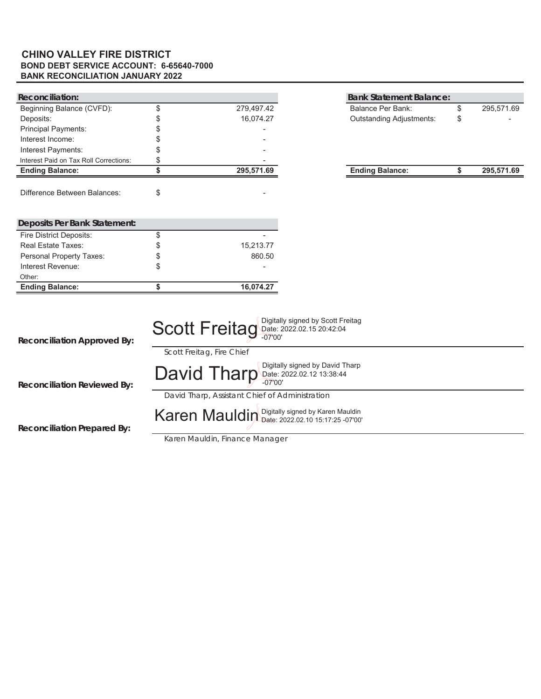#### **BOND DEBT SERVICE ACCOUNT: 6-65640-7000 BANK RECONCILIATION JANUARY 2022 CHINO VALLEY FIRE DISTRICT**

| <b>Reconciliation:</b>                 |    |                                                                                                                                     |                                                              | <b>Bank Statement Balance:</b> |                  |
|----------------------------------------|----|-------------------------------------------------------------------------------------------------------------------------------------|--------------------------------------------------------------|--------------------------------|------------------|
| Beginning Balance (CVFD):              | \$ | 279,497.42                                                                                                                          |                                                              | <b>Balance Per Bank:</b>       | \$<br>295,571.69 |
| Deposits:                              |    | 16,074.27                                                                                                                           |                                                              | Outstanding Adjustments:       | \$               |
| <b>Principal Payments:</b>             |    |                                                                                                                                     |                                                              |                                |                  |
| Interest Income:                       |    |                                                                                                                                     |                                                              |                                |                  |
| Interest Payments:                     |    |                                                                                                                                     |                                                              |                                |                  |
| Interest Paid on Tax Roll Corrections: | S  |                                                                                                                                     |                                                              |                                |                  |
| <b>Ending Balance:</b>                 | \$ | 295,571.69                                                                                                                          |                                                              | <b>Ending Balance:</b>         | \$<br>295,571.69 |
| <b>Difference Between Balances:</b>    | \$ |                                                                                                                                     |                                                              |                                |                  |
| <b>Deposits Per Bank Statement:</b>    |    |                                                                                                                                     |                                                              |                                |                  |
| <b>Fire District Deposits:</b>         | \$ |                                                                                                                                     |                                                              |                                |                  |
| <b>Real Estate Taxes:</b>              | \$ | 15,213.77                                                                                                                           |                                                              |                                |                  |
| Personal Property Taxes:               |    | 860.50                                                                                                                              |                                                              |                                |                  |
| Interest Revenue:                      | \$ |                                                                                                                                     |                                                              |                                |                  |
| Other:                                 |    |                                                                                                                                     |                                                              |                                |                  |
| <b>Ending Balance:</b>                 | \$ | 16,074.27                                                                                                                           |                                                              |                                |                  |
| <b>Reconciliation Approved By:</b>     |    | <b>Scott Freitag Date: 2022.02.15 20:42:04</b><br>$-07'00'$                                                                         | Digitally signed by Scott Freitag                            |                                |                  |
| <b>Reconciliation Reviewed By:</b>     |    | Scott Freitag, Fire Chief<br>David Tharp<br>$-07'00'$                                                                               | Digitally signed by David Tharp<br>Date: 2022.02.12 13:38:44 |                                |                  |
| <b>Reconciliation Prepared By:</b>     |    | David Tharp, Assistant Chief of Administration<br>Karen Mauldin Digitally signed by Karen Mauldin<br>Karen Mauldin, Finance Manager |                                                              |                                |                  |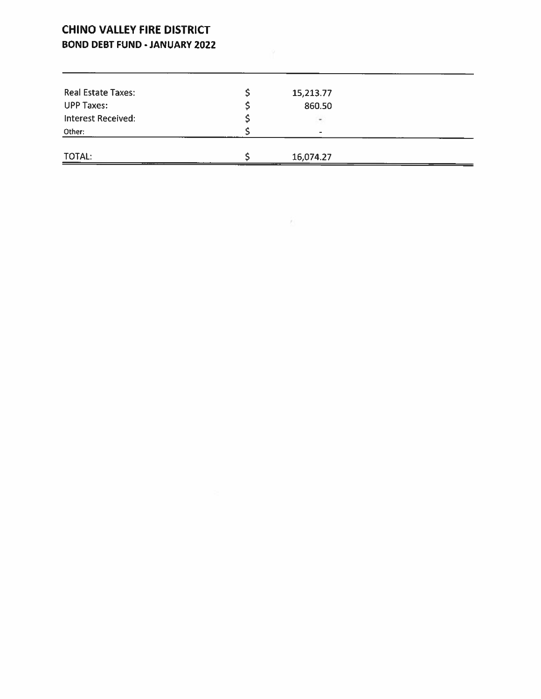### **CHINO VALLEY FIRE DISTRICT BOND DEBT FUND - JANUARY 2022**

| Real Estate Taxes:        | 15,213.77 |  |
|---------------------------|-----------|--|
| <b>UPP Taxes:</b>         | 860.50    |  |
| <b>Interest Received:</b> |           |  |
| Other:                    | ۰.        |  |
|                           |           |  |
| TOTAL:                    | 16,074.27 |  |

 $\mathcal{F}^{\perp}$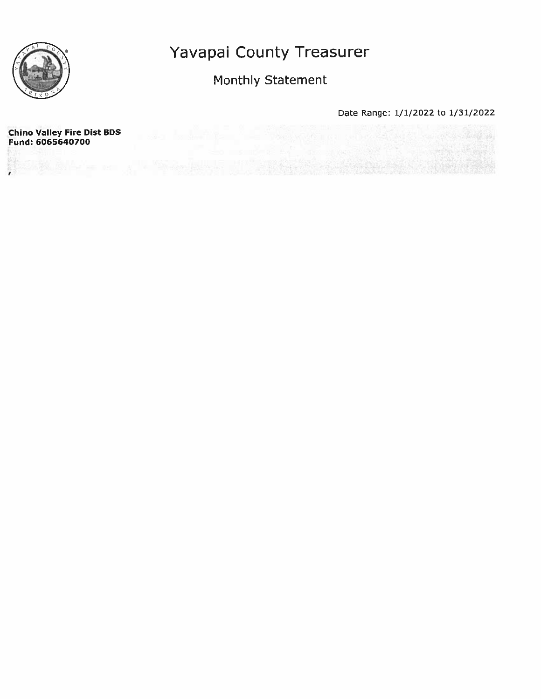

### Monthly Statement

Date Range: 1/1/2022 to 1/31/2022

**Chino Valley Fire Dist BDS** Fund: 6065640700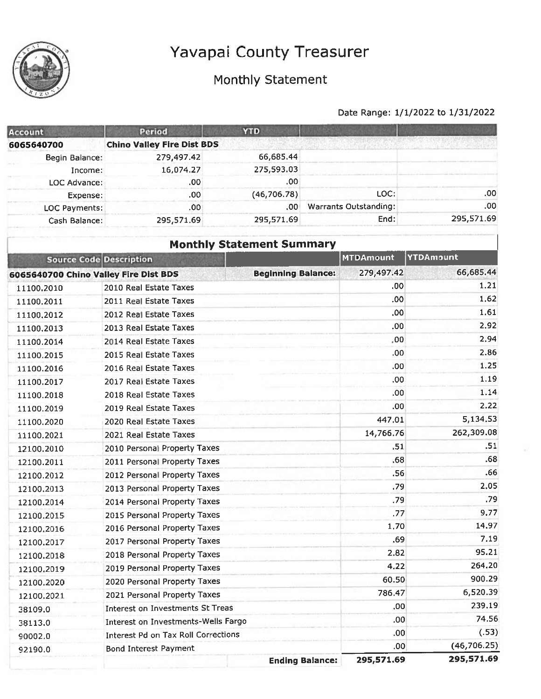

12100.2019

12100.2020

12100.2021

38109.0

38113.0

90002.0

92190.0

2019 Personal Property Taxes

2020 Personal Property Taxes

2021 Personal Property Taxes

**Bond Interest Payment** 

Interest on Investments St Treas

Interest on Investments-Wells Fargo

**Interest Pd on Tax Roll Corrections** 

### Monthly Statement

#### Date Range: 1/1/2022 to 1/31/2022

264.20

900.29

239.19

74.56

 $(.53)$ 

 $(46, 706.25)$ 

295,571.69

6,520.39

4.22

60.50

 $.00.$ 

 $.00<sub>1</sub>$ 

 $.00<sub>1</sub>$ 

 $.00<sub>1</sub>$ 

295,571.69

**Ending Balance:** 

786.47

| Account                               | Period                            | <b>YTD</b>                       |                              |            |
|---------------------------------------|-----------------------------------|----------------------------------|------------------------------|------------|
| 6065640700                            | <b>Chino Valley Fire Dist BDS</b> |                                  |                              |            |
| Begin Balance:                        | 279,497.42                        | 66,685.44                        |                              |            |
| Income:                               | 16,074.27                         | 275,593.03                       |                              |            |
| LOC Advance:                          | .00                               | .00                              |                              |            |
| Expense:                              | .00                               | (46, 706, 78)                    | LOC:                         | .00        |
| LOC Payments:                         | .00                               | .00.                             | <b>Warrants Outstanding:</b> | .00        |
| Cash Balance:                         | 295,571.69                        | 295,571.69                       | End:                         | 295,571.69 |
|                                       |                                   | <b>Monthly Statement Summary</b> |                              |            |
| <b>Source Code Description</b>        |                                   |                                  | <b>MTDAmount</b>             | YTDAmount  |
| 6065640700 Chino Valley Fire Dist BDS |                                   | <b>Beginning Balance:</b>        | 279,497.42                   | 66,685.44  |
| 11100.2010                            | 2010 Real Estate Taxes            |                                  | .00                          | 1.21       |
| 11100.2011                            | 2011 Real Estate Taxes            |                                  | .00                          | 1.62       |
| 11100.2012                            | 2012 Real Estate Taxes            |                                  | .00                          | 1.61       |
| 11100,2013                            | 2013 Real Estate Taxes            |                                  | .00                          | 2,92       |
| 11100.2014                            | 2014 Real Estate Taxes            |                                  | .00                          | 2.94       |
| 11100.2015                            | 2015 Real Estate Taxes            |                                  | .00                          | 2.86       |
| 11100.2016                            | 2016 Real Estate Taxes            |                                  | .00                          | 1.25       |
| 11100.2017                            | 2017 Real Estate Taxes            |                                  | .00                          | 1.19       |
| 11100.2018                            | 2018 Real Estate Taxes            |                                  | .00                          | 1.14       |
| 11100.2019                            | 2019 Real Estate Taxes            |                                  | .00                          | 2.22       |
| 11100.2020                            | 2020 Real Estate Taxes            |                                  | 447,01                       | 5,134.53   |
| 11100.2021                            | 2021 Real Estate Taxes            |                                  | 14,766.76                    | 262,309.08 |
| 12100.2010                            | 2010 Personal Property Taxes      |                                  | .51                          | .51        |
| 12100.2011                            | 2011 Personal Property Taxes      |                                  | .68                          | .68        |
| 12100.2012                            | 2012 Personal Property Taxes      |                                  | .56                          | .66        |
| 12100.2013                            | 2013 Personal Property Taxes      |                                  | .79                          | 2.05       |
| 12100.2014                            | 2014 Personal Property Taxes      |                                  | .79                          | .79        |
| 12100.2015                            | 2015 Personal Property Taxes      |                                  | .77                          | 9.77       |
| 12100.2016                            | 2016 Personal Property Taxes      |                                  | 1,70                         | 14.97      |
| 12100.2017                            | 2017 Personal Property Taxes      |                                  | .69                          | 7.19       |
| 12100.2018                            | 2018 Personal Property Taxes      |                                  | 2.82                         | 95.21      |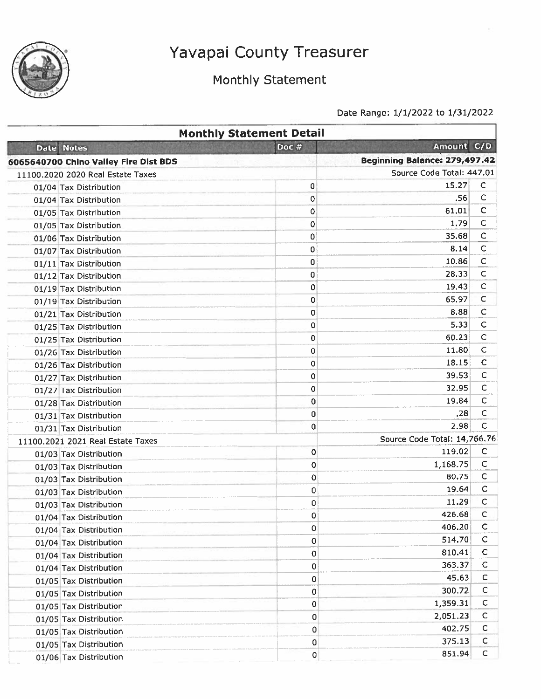

## Monthly Statement

|                                       | <b>Monthly Statement Detail</b> |                               |              |
|---------------------------------------|---------------------------------|-------------------------------|--------------|
| <b>Date Notes</b>                     | Doc #                           | Amount C/D                    |              |
| 6065640700 Chino Valley Fire Dist BDS |                                 | Beginning Balance: 279,497.42 |              |
| 11100.2020 2020 Real Estate Taxes     |                                 | Source Code Total: 447.01     |              |
| 01/04 Tax Distribution                | 0                               | 15,27                         | C            |
| 01/04 Tax Distribution                | 0                               | .56                           | $\mathsf{C}$ |
| 01/05 Tax Distribution                | $\mathbf 0$                     | 61.01                         | $\mathsf{C}$ |
| 01/05 Tax Distribution                | 0                               | 1.79                          | $\mathsf{C}$ |
| 01/06 Tax Distribution                | 0                               | 35.68                         | $\mathsf{C}$ |
| 01/07 Tax Distribution                | 0                               | 8.14                          | $\mathsf{C}$ |
| 01/11 Tax Distribution                | 0                               | 10.86                         | $\mathsf{C}$ |
| 01/12 Tax Distribution                | 0                               | 28.33                         | $\mathsf{C}$ |
| 01/19 Tax Distribution                | 0                               | 19.43                         | C            |
| 01/19 Tax Distribution                | 0                               | 65.97                         | $\mathsf C$  |
| 01/21 Tax Distribution                | 0                               | 8.88                          | c            |
| 01/25 Tax Distribution                | 0                               | 5.33                          | $\mathsf{C}$ |
| 01/25 Tax Distribution                | 0                               | 60.23                         | c            |
| 01/26 Tax Distribution                | 0                               | 11.80                         | c            |
| 01/26 Tax Distribution                | 0                               | 18.15                         | $\mathbf C$  |
| 01/27 Tax Distribution                | 0                               | 39.53                         | C            |
| 01/27 Tax Distribution                | 0                               | 32.95                         | C            |
| 01/28 Tax Distribution                | 0                               | 19.84                         | $\mathsf{C}$ |
| 01/31 Tax Distribution                | 0                               | .28                           | C            |
| 01/31 Tax Distribution                | 0                               | 2.98                          | C            |
| 11100,2021 2021 Real Estate Taxes     |                                 | Source Code Total: 14,766.76  |              |
| 01/03 Tax Distribution                | 0                               | 119.02                        | C            |
| 01/03 Tax Distribution                | 0                               | 1,168.75                      | $\mathsf{C}$ |
| 01/03 Tax Distribution                | 0                               | 80.75                         | C            |
| 01/03 Tax Distribution                | 0                               | 19.64                         | $\mathsf{C}$ |
| 01/03 Tax Distribution                | 0                               | 11.29                         | с            |
| 01/04 Tax Distribution                | 0                               | 426.68                        | с            |
| 01/04 Tax Distribution                | 0                               | 406.20                        | C            |
| 01/04 Tax Distribution                | 0                               | 514.70                        | С            |
| 01/04 Tax Distribution                | 0                               | 810.41                        | $\mathsf{C}$ |
| 01/04 Tax Distribution                | 0                               | 363.37                        | $\mathsf{C}$ |
| 01/05 Tax Distribution                | 0                               | 45.63                         | C            |
| 01/05 Tax Distribution                | $\mathbf 0$                     | 300.72                        | $\mathsf C$  |
| 01/05 Tax Distribution                | 0                               | 1,359.31                      | C            |
| 01/05 Tax Distribution                | 0                               | 2,051.23                      | $\mathsf{C}$ |
| 01/05 Tax Distribution                | 0                               | 402.75                        | $\mathsf{C}$ |
| 01/05 Tax Distribution                | 0                               | 375.13                        | C            |
| 01/06 Tax Distribution                | 0                               | 851.94                        | $\mathsf{C}$ |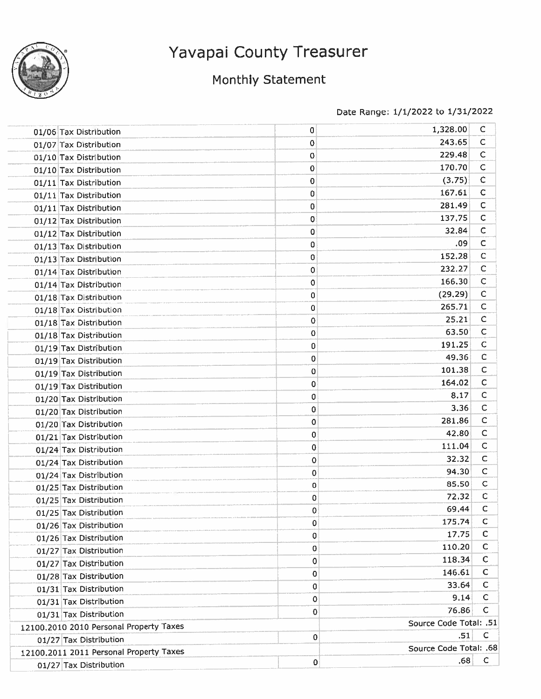

## Monthiy Statement

| 01/06 Tax Distribution                  | 0           | 1,328.00               | c            |
|-----------------------------------------|-------------|------------------------|--------------|
| 01/07 Tax Distribution                  | 0           | 243.65                 | C            |
| 01/10 Tax Distribution                  | 0           | 229.48                 | $\mathsf{C}$ |
| 01/10 Tax Distribution                  | 0           | 170.70                 | $\mathsf{C}$ |
| 01/11 Tax Distribution                  | 0           | (3.75)                 | $\mathsf{C}$ |
| 01/11 Tax Distribution                  | 0           | 167.61                 | $\mathsf{C}$ |
| 01/11 Tax Distribution                  | 0           | 281.49                 | $\mathsf{C}$ |
| 01/12 Tax Distribution                  | 0           | 137,75                 | $\mathsf{C}$ |
| 01/12 Tax Distribution                  | 0           | 32.84                  | $\mathsf{C}$ |
| 01/13 Tax Distribution                  | 0           | .09                    | $\mathsf{C}$ |
| 01/13 Tax Distribution                  | 0           | 152.28                 | $\mathsf{C}$ |
| 01/14 Tax Distribution                  | 0           | 232.27                 | $\mathsf{C}$ |
| 01/14 Tax Distribution                  | 0           | 166.30                 | $\mathsf{C}$ |
| 01/18 Tax Distribution                  | 0           | (29.29)                | $\mathsf{C}$ |
| 01/18 Tax Distribution                  | 0           | 265.71                 | C            |
| 01/18 Tax Distribution                  | 0           | 25.21                  | C            |
| 01/18 Tax Distribution                  | 0           | 63.50                  | C            |
| 01/19 Tax Distribution                  | 0           | 191.25                 | $\mathsf{C}$ |
| 01/19 Tax Distribution                  | 0           | 49.36                  | C            |
| 01/19 Tax Distribution                  | 0           | 101.38                 | с            |
| 01/19 Tax Distribution                  | 0           | 164.02                 | с            |
| 01/20 Tax Distribution                  | 0           | 8.17                   | $\mathsf{C}$ |
| 01/20 Tax Distribution                  | 0           | 3.36                   | C            |
| 01/20 Tax Distribution                  | 0           | 281.86                 | C            |
| 01/21 Tax Distribution                  | 0           | 42.80                  | с            |
| 01/24 Tax Distribution                  | 0           | 111.04                 | C            |
| 01/24 Tax Distribution                  | 0           | 32.32                  | $\mathsf{C}$ |
| 01/24 Tax Distribution                  | 0           | 94.30                  | $\mathsf{C}$ |
| 01/25 Tax Distribution                  | 0           | 85.50                  | с            |
| 01/25 Tax Distribution                  | 0           | 72.32                  | с            |
| 01/25 Tax Distribution                  | $\mathbf 0$ | 69.44                  | C            |
| 01/26 Tax Distribution                  | $\mathbf 0$ | 175.74                 | $\mathsf{C}$ |
| 01/26 Tax Distribution                  | 0           | 17.75                  | С            |
| 01/27 Tax Distribution                  | 0           | 110.20                 | C            |
| 01/27 Tax Distribution                  | 0           | 118.34                 | C            |
| 01/28 Tax Distribution                  | 0           | 146.61                 | $\mathsf C$  |
| 01/31 Tax Distribution                  | 0           | 33.64                  | C            |
| 01/31 Tax Distribution                  | 0           | 9.14                   | C            |
| 01/31 Tax Distribution                  | 0           | 76.86                  | С            |
| 12100.2010 2010 Personal Property Taxes |             | Source Code Total: .51 |              |
| 01/27 Tax Distribution                  | 0           | .51                    | C            |
| 12100.2011 2011 Personal Property Taxes |             | Source Code Total: .68 |              |
| 01/27 Tax Distribution                  | 0           | .68                    | $\mathsf{C}$ |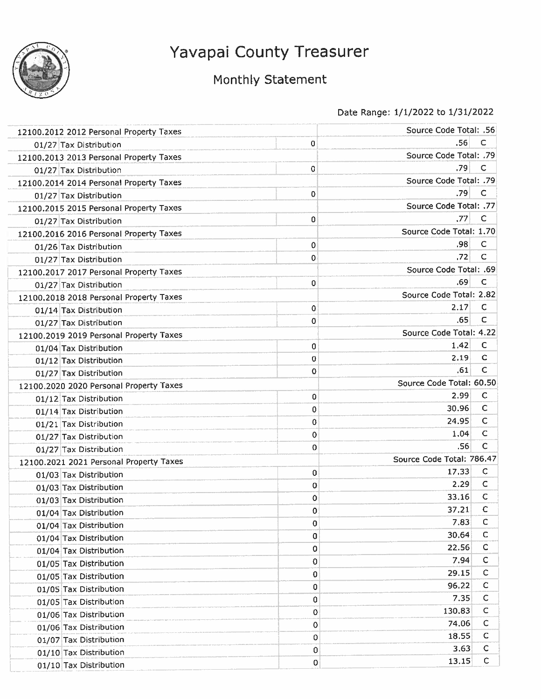

## Monthly Statement

| 12100.2012 2012 Personal Property Taxes |             | <b>Source Code Total: .56</b> |              |
|-----------------------------------------|-------------|-------------------------------|--------------|
| 01/27 Tax Distribution                  | 0           | .56                           | C            |
| 12100.2013 2013 Personal Property Taxes |             | Source Code Total: .79        |              |
| 01/27 Tax Distribution                  | 0           | .79                           | с            |
| 12100.2014 2014 Personal Property Taxes |             | Source Code Total: .79        |              |
| 01/27 Tax Distribution                  | 0           | .79                           | C            |
| 12100.2015 2015 Personal Property Taxes |             | Source Code Total: .77        |              |
| 01/27 Tax Distribution                  | 0           | .77                           | с            |
| 12100,2016 2016 Personal Property Taxes |             | Source Code Total: 1.70       |              |
| 01/26 Tax Distribution                  | 0           | .98                           | с            |
| 01/27 Tax Distribution                  | 0           | .72                           | с            |
| 12100.2017 2017 Personal Property Taxes |             | Source Code Total: .69        |              |
| 01/27 Tax Distribution                  | 0           | .69                           | c            |
| 12100.2018 2018 Personal Property Taxes |             | Source Code Total: 2.82       |              |
| 01/14 Tax Distribution                  | $\mathbf 0$ | 2.17                          | C            |
| 01/27 Tax Distribution                  | 0           | .65                           | C            |
| 12100.2019 2019 Personal Property Taxes |             | Source Code Total: 4.22       |              |
| 01/04 Tax Distribution                  | 0           | 1.42                          | C            |
| 01/12 Tax Distribution                  | 0           | 2.19                          | C            |
| 01/27 Tax Distribution                  | 0           | .61                           | $\mathsf{C}$ |
| 12100.2020 2020 Personal Property Taxes |             | Source Code Total: 60.50      |              |
| 01/12 Tax Distribution                  | 0           | 2.99                          | C            |
| 01/14 Tax Distribution                  | 0           | 30.96                         | C            |
| 01/21 Tax Distribution                  | 0           | 24.95                         | С            |
| 01/27 Tax Distribution                  | 0           | 1,04                          | $\mathsf{C}$ |
| 01/27 Tax Distribution                  | 0           | .56                           | C            |
| 12100.2021 2021 Personal Property Taxes |             | Source Code Total: 786.47     |              |
| 01/03 Tax Distribution                  | 0           | 17.33                         | с            |
| 01/03 Tax Distribution                  | 0           | 2.29                          | C            |
| 01/03 Tax Distribution                  | 0           | 33.16                         | C            |
| 01/04 Tax Distribution                  | 0           | 37,21                         | c            |
| 01/04 Tax Distribution                  | 0           | 7.83                          | $\mathsf C$  |
| 01/04 Tax Distribution                  | 0           | 30.64                         | С            |
| 01/04 Tax Distribution                  | 0           | 22.56                         | C            |
| 01/05 Tax Distribution                  | 0           | 7.94                          | $\mathsf{C}$ |
| 01/05 Tax Distribution                  | $\bf{0}$    | 29.15                         | с            |
| 01/05 Tax Distribution                  | $\mathbf 0$ | 96.22                         | C            |
| 01/05 Tax Distribution                  | 0           | 7.35                          | С            |
| 01/06 Tax Distribution                  | $\mathbf 0$ | 130.83                        | С            |
| 01/06 Tax Distribution                  | $\mathbf 0$ | 74.06                         | C            |
| 01/07 Tax Distribution                  | 0           | 18.55                         | C            |
| 01/10 Tax Distribution                  | 0           | 3.63                          | с            |
| 01/10 Tax Distribution                  | 0           | 13.15                         | $\mathsf{C}$ |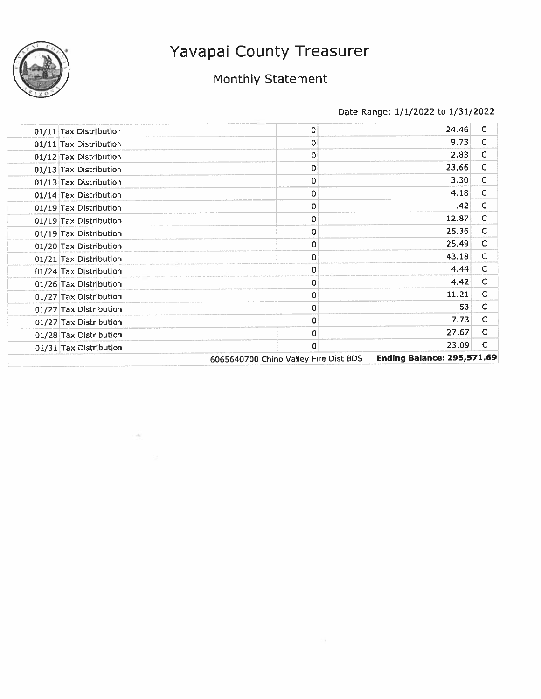

## Monthly Statement

| 01/11 Tax Distribution | 0                                     | 24,46                             | C            |
|------------------------|---------------------------------------|-----------------------------------|--------------|
| 01/11 Tax Distribution | 0                                     | 9.73                              | C            |
| 01/12 Tax Distribution | 0                                     | 2.83                              | C            |
| 01/13 Tax Distribution | 0                                     | 23.66                             | C            |
| 01/13 Tax Distribution | 0                                     | 3.30                              | C            |
| 01/14 Tax Distribution | 0                                     | 4.18                              | C            |
| 01/19 Tax Distribution | 0                                     | .42                               | C            |
| 01/19 Tax Distribution | 0                                     | 12.87                             | C            |
| 01/19 Tax Distribution | 0                                     | 25.36                             | C            |
| 01/20 Tax Distribution | 0                                     | 25.49                             | C            |
| 01/21 Tax Distribution | 0                                     | 43.18                             | C            |
| 01/24 Tax Distribution | 0                                     | 4.44                              | C            |
| 01/26 Tax Distribution | 0                                     | 4.42                              | C            |
| 01/27 Tax Distribution | 0                                     | 11.21                             | $\mathsf{C}$ |
| 01/27 Tax Distribution | 0                                     | .53                               | C            |
| 01/27 Tax Distribution | 0                                     | 7.73                              | C            |
| 01/28 Tax Distribution | 0                                     | 27.67                             | C            |
| 01/31 Tax Distribution | 0                                     | 23.09                             | C            |
|                        | 6065640700 Chino Valley Fire Dist BDS | <b>Ending Balance: 295,571.69</b> |              |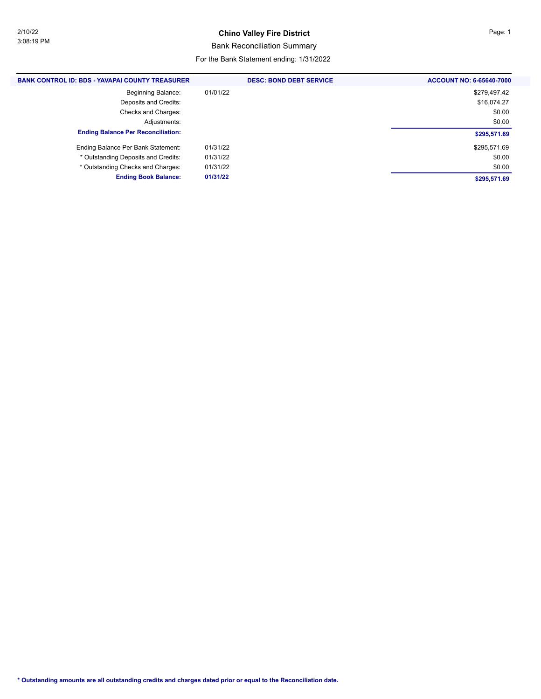#### **Chino Valley Fire District Page: 1**

#### Bank Reconciliation Summary

#### For the Bank Statement ending: 1/31/2022

| <b>BANK CONTROL ID: BDS - YAVAPAI COUNTY TREASURER</b> | <b>DESC: BOND DEBT SERVICE</b> | <b>ACCOUNT NO: 6-65640-7000</b> |
|--------------------------------------------------------|--------------------------------|---------------------------------|
| <b>Beginning Balance:</b>                              | 01/01/22                       | \$279,497.42                    |
| Deposits and Credits:                                  |                                | \$16,074.27                     |
| Checks and Charges:                                    |                                | \$0.00                          |
| Adjustments:                                           |                                | \$0.00                          |
| <b>Ending Balance Per Reconciliation:</b>              |                                | \$295,571.69                    |
| Ending Balance Per Bank Statement:                     | 01/31/22                       | \$295,571.69                    |
| * Outstanding Deposits and Credits:                    | 01/31/22                       | \$0.00                          |
| * Outstanding Checks and Charges:                      | 01/31/22                       | \$0.00                          |
| <b>Ending Book Balance:</b>                            | 01/31/22                       | \$295,571.69                    |
|                                                        |                                |                                 |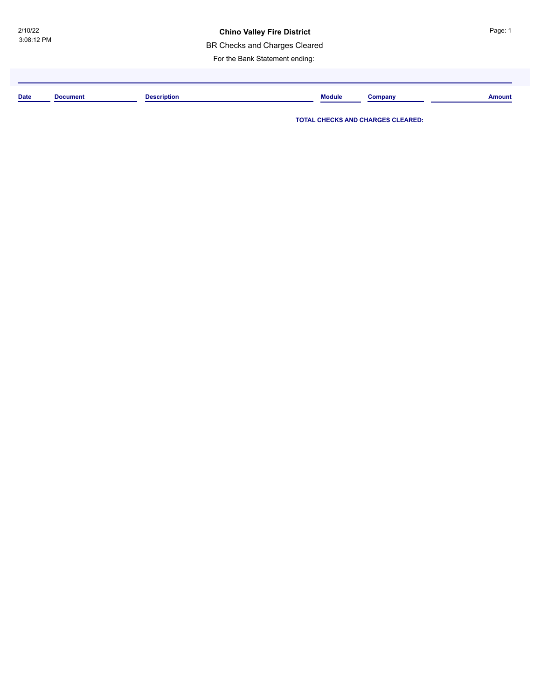#### **Chino Valley Fire District China Burger 2 and Separate Page: 1**

BR Checks and Charges Cleared

For the Bank Statement ending:

| <b>Date</b> | Document | Description | <b>Module</b> | ∶ompanv | <b>Amount</b> |
|-------------|----------|-------------|---------------|---------|---------------|
|             |          |             |               |         |               |

**TOTAL CHECKS AND CHARGES CLEARED:**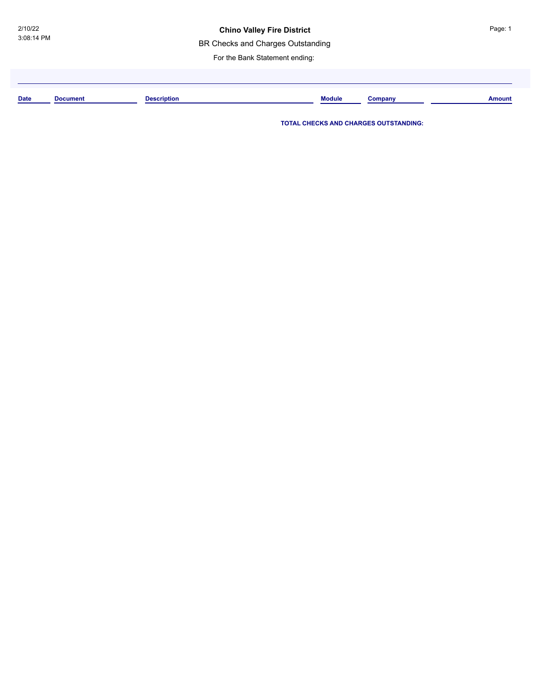BR Checks and Charges Outstanding

For the Bank Statement ending:

| <b>Date</b> | Document | <b>Description</b> | <b>Module</b> | Company | Amount |
|-------------|----------|--------------------|---------------|---------|--------|
|             |          |                    |               |         |        |

**TOTAL CHECKS AND CHARGES OUTSTANDING:**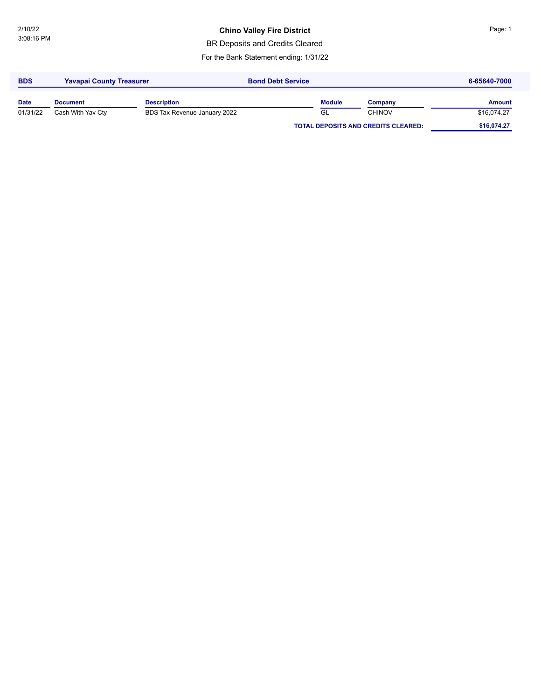#### **Chino Valley Fire District China Bullet China Page: 1**

BR Deposits and Credits Cleared

For the Bank Statement ending: 1/31/22

| <b>BDS</b>  | <b>Yavapai County Treasurer</b> |                              | <b>Bond Debt Service</b> |               |                                            | 6-65640-7000  |
|-------------|---------------------------------|------------------------------|--------------------------|---------------|--------------------------------------------|---------------|
| <b>Date</b> | <b>Document</b>                 | <b>Description</b>           |                          | <b>Module</b> | Company                                    | <b>Amount</b> |
| 01/31/22    | Cash With Yav Cty               | BDS Tax Revenue January 2022 |                          | GL            | <b>CHINOV</b>                              | \$16,074.27   |
|             |                                 |                              |                          |               | <b>TOTAL DEPOSITS AND CREDITS CLEARED:</b> | \$16,074.27   |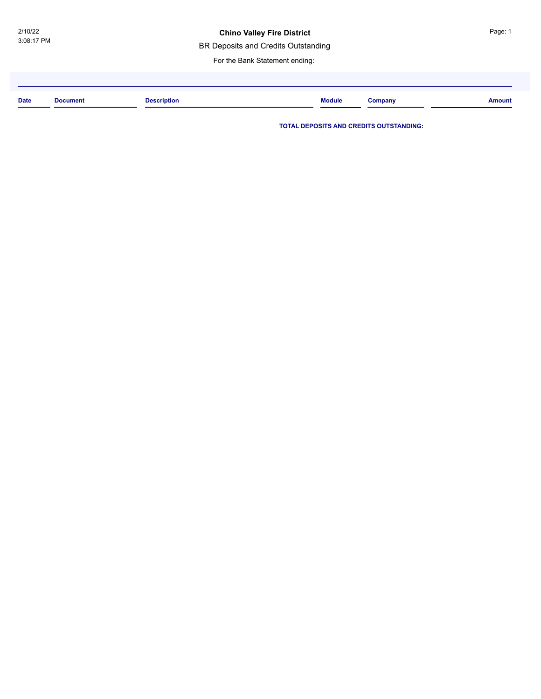#### **Chino Valley Fire District**

BR Deposits and Credits Outstanding

For the Bank Statement ending:

| <b>Date</b> | Document<br>. | <b>Description</b> | <b>Module</b> | Company | <b>Amount</b> |
|-------------|---------------|--------------------|---------------|---------|---------------|
|             |               |                    |               |         |               |

**TOTAL DEPOSITS AND CREDITS OUTSTANDING:**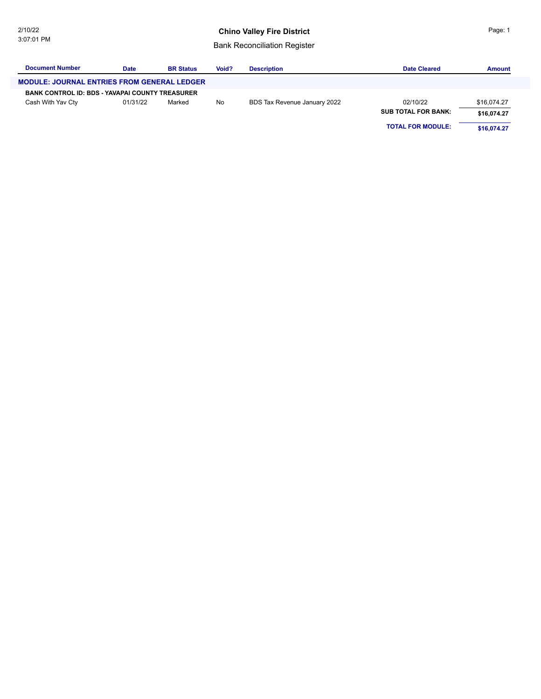#### **Chino Valley Fire District**

Bank Reconciliation Register

| <b>Document Number</b>                                 | <b>Date</b> | <b>BR Status</b> | Void? | <b>Description</b>           | <b>Date Cleared</b>        | <b>Amount</b> |
|--------------------------------------------------------|-------------|------------------|-------|------------------------------|----------------------------|---------------|
| <b>MODULE: JOURNAL ENTRIES FROM GENERAL LEDGER</b>     |             |                  |       |                              |                            |               |
| <b>BANK CONTROL ID: BDS - YAVAPAI COUNTY TREASURER</b> |             |                  |       |                              |                            |               |
| Cash With Yav Cty                                      | 01/31/22    | Marked           | No    | BDS Tax Revenue January 2022 | 02/10/22                   | \$16,074.27   |
|                                                        |             |                  |       |                              | <b>SUB TOTAL FOR BANK:</b> | \$16.074.27   |
|                                                        |             |                  |       |                              | <b>TOTAL FOR MODULE:</b>   | \$16.074.27   |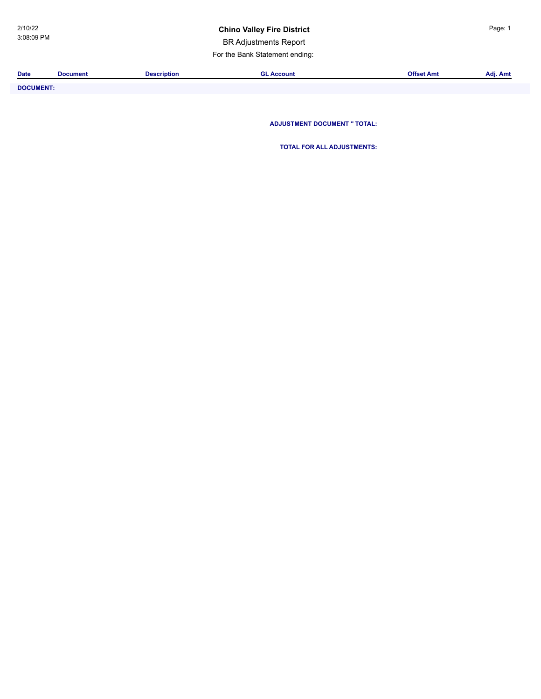#### **Chino Valley Fire District Page: 1**

BR Adjustments Report

For the Bank Statement ending:

| <b>Date</b>      | <b>Document</b> | <b>Description</b> | <b>GL Account</b>                   | <b>Offset Amt</b> | Adj. Amt |
|------------------|-----------------|--------------------|-------------------------------------|-------------------|----------|
| <b>DOCUMENT:</b> |                 |                    |                                     |                   |          |
|                  |                 |                    |                                     |                   |          |
|                  |                 |                    |                                     |                   |          |
|                  |                 |                    | <b>ADJUSTMENT DOCUMENT " TOTAL:</b> |                   |          |

**TOTAL FOR ALL ADJUSTMENTS:**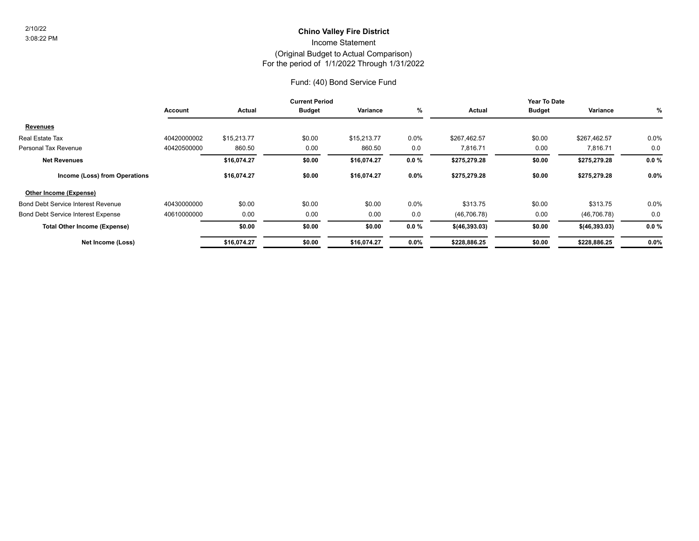#### For the period of 1/1/2022 Through 1/31/2022 (Original Budget to Actual Comparison) Income Statement **Chino Valley Fire District** 2/10/22

#### Fund: (40) Bond Service Fund

|                                           |             |             | <b>Current Period</b> |             |          |                 | Year To Date  |                 |          |
|-------------------------------------------|-------------|-------------|-----------------------|-------------|----------|-----------------|---------------|-----------------|----------|
|                                           | Account     | Actual      | <b>Budget</b>         | Variance    | %        | Actual          | <b>Budget</b> | Variance        | %        |
| <b>Revenues</b>                           |             |             |                       |             |          |                 |               |                 |          |
| Real Estate Tax                           | 40420000002 | \$15,213.77 | \$0.00                | \$15,213.77 | $0.0\%$  | \$267,462.57    | \$0.00        | \$267,462.57    | 0.0%     |
| Personal Tax Revenue                      | 40420500000 | 860.50      | 0.00                  | 860.50      | 0.0      | 7,816.71        | 0.00          | 7,816.71        | 0.0      |
| <b>Net Revenues</b>                       |             | \$16,074.27 | \$0.00                | \$16,074.27 | $0.0 \%$ | \$275,279.28    | \$0.00        | \$275,279.28    | $0.0 \%$ |
| Income (Loss) from Operations             |             | \$16.074.27 | \$0.00                | \$16,074.27 | $0.0\%$  | \$275,279.28    | \$0.00        | \$275,279.28    | $0.0\%$  |
| Other Income (Expense)                    |             |             |                       |             |          |                 |               |                 |          |
| <b>Bond Debt Service Interest Revenue</b> | 40430000000 | \$0.00      | \$0.00                | \$0.00      | 0.0%     | \$313.75        | \$0.00        | \$313.75        | 0.0%     |
| <b>Bond Debt Service Interest Expense</b> | 40610000000 | 0.00        | 0.00                  | 0.00        | 0.0      | (46, 706.78)    | 0.00          | (46, 706.78)    | 0.0      |
| <b>Total Other Income (Expense)</b>       |             | \$0.00      | \$0.00                | \$0.00      | $0.0 \%$ | $$$ (46,393.03) | \$0.00        | \$ (46, 393.03) | $0.0 \%$ |
| Net Income (Loss)                         |             | \$16,074.27 | \$0.00                | \$16,074.27 | $0.0\%$  | \$228,886.25    | \$0.00        | \$228,886.25    | 0.0%     |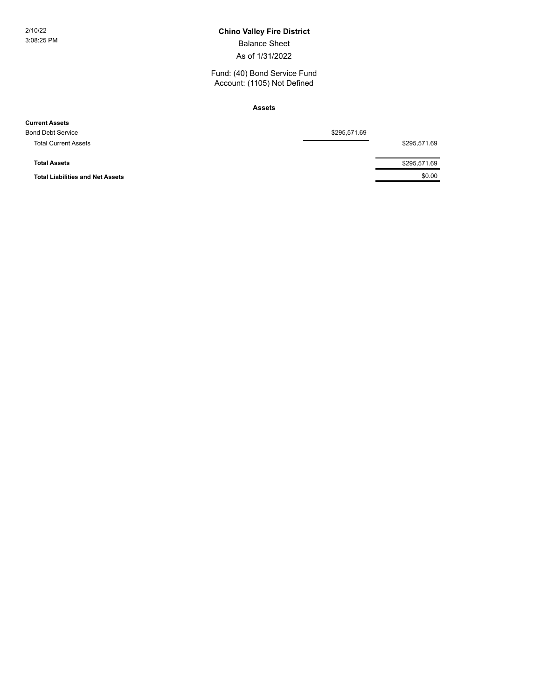### 2/10/22 **Chino Valley Fire District**

Balance Sheet

As of 1/31/2022

Fund: (40) Bond Service Fund Account: (1105) Not Defined

**Assets**

| \$295,571.69 |              |  |
|--------------|--------------|--|
|              | \$295,571.69 |  |
|              |              |  |
|              | \$295,571.69 |  |
|              | \$0.00       |  |
|              |              |  |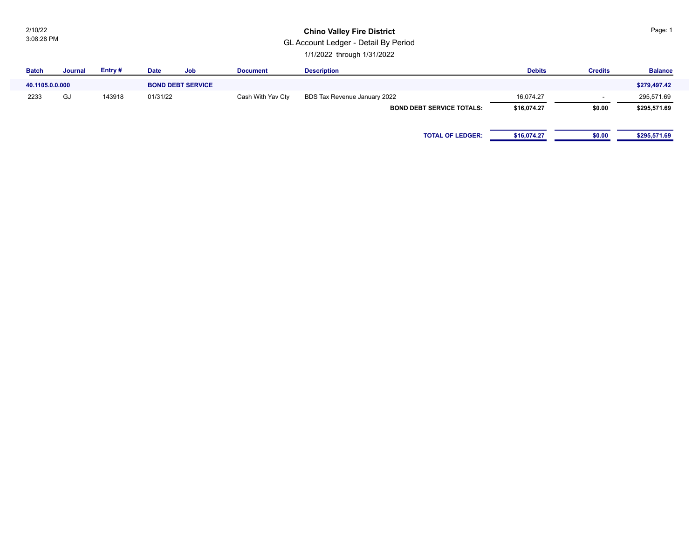2/10/22 3:08:28 PM

#### **Chino Valley Fire District**

GL Account Ledger - Detail By Period

1/1/2022 through 1/31/2022

| <b>Batch</b>    | Journal | Entry# | <b>Date</b> | Job                      | <b>Document</b>   | <b>Description</b>               | <b>Debits</b> | <b>Credits</b>           | <b>Balance</b> |
|-----------------|---------|--------|-------------|--------------------------|-------------------|----------------------------------|---------------|--------------------------|----------------|
| 40.1105.0.0.000 |         |        |             | <b>BOND DEBT SERVICE</b> |                   |                                  |               |                          | \$279,497.42   |
| 2233            | GJ      | 143918 | 01/31/22    |                          | Cash With Yav Cty | BDS Tax Revenue January 2022     | 16,074.27     | $\overline{\phantom{a}}$ | 295,571.69     |
|                 |         |        |             |                          |                   | <b>BOND DEBT SERVICE TOTALS:</b> | \$16,074.27   | \$0.00                   | \$295,571.69   |
|                 |         |        |             |                          |                   |                                  |               |                          |                |
|                 |         |        |             |                          |                   | <b>TOTAL OF LEDGER:</b>          | \$16,074.27   | \$0.00                   | \$295,571.69   |